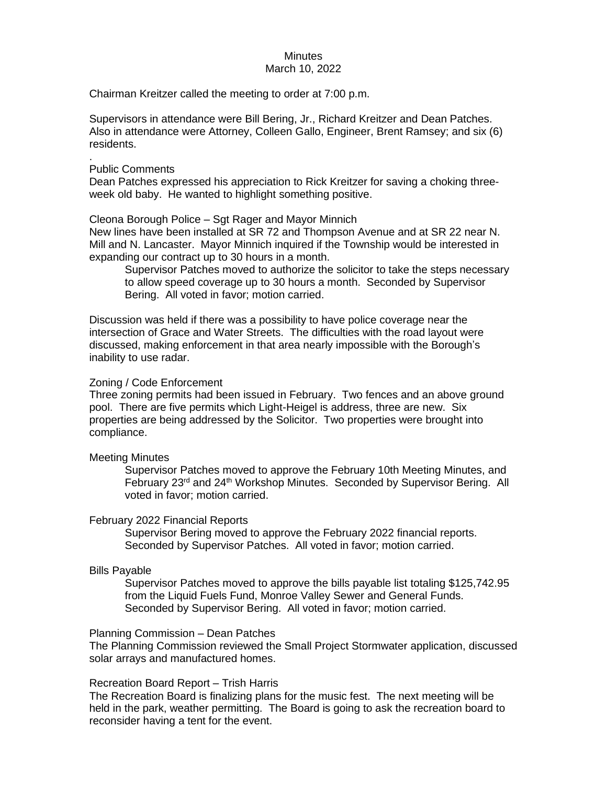# **Minutes**

## March 10, 2022

Chairman Kreitzer called the meeting to order at 7:00 p.m.

Supervisors in attendance were Bill Bering, Jr., Richard Kreitzer and Dean Patches. Also in attendance were Attorney, Colleen Gallo, Engineer, Brent Ramsey; and six (6) residents.

# Public Comments

.

Dean Patches expressed his appreciation to Rick Kreitzer for saving a choking threeweek old baby. He wanted to highlight something positive.

Cleona Borough Police – Sgt Rager and Mayor Minnich

New lines have been installed at SR 72 and Thompson Avenue and at SR 22 near N. Mill and N. Lancaster. Mayor Minnich inquired if the Township would be interested in expanding our contract up to 30 hours in a month.

Supervisor Patches moved to authorize the solicitor to take the steps necessary to allow speed coverage up to 30 hours a month. Seconded by Supervisor Bering. All voted in favor; motion carried.

Discussion was held if there was a possibility to have police coverage near the intersection of Grace and Water Streets. The difficulties with the road layout were discussed, making enforcement in that area nearly impossible with the Borough's inability to use radar.

# Zoning / Code Enforcement

Three zoning permits had been issued in February. Two fences and an above ground pool. There are five permits which Light-Heigel is address, three are new. Six properties are being addressed by the Solicitor. Two properties were brought into compliance.

## Meeting Minutes

Supervisor Patches moved to approve the February 10th Meeting Minutes, and February 23<sup>rd</sup> and 24<sup>th</sup> Workshop Minutes. Seconded by Supervisor Bering. All voted in favor; motion carried.

## February 2022 Financial Reports

Supervisor Bering moved to approve the February 2022 financial reports. Seconded by Supervisor Patches. All voted in favor; motion carried.

# Bills Payable

Supervisor Patches moved to approve the bills payable list totaling \$125,742.95 from the Liquid Fuels Fund, Monroe Valley Sewer and General Funds. Seconded by Supervisor Bering. All voted in favor; motion carried.

## Planning Commission – Dean Patches

The Planning Commission reviewed the Small Project Stormwater application, discussed solar arrays and manufactured homes.

## Recreation Board Report – Trish Harris

The Recreation Board is finalizing plans for the music fest. The next meeting will be held in the park, weather permitting. The Board is going to ask the recreation board to reconsider having a tent for the event.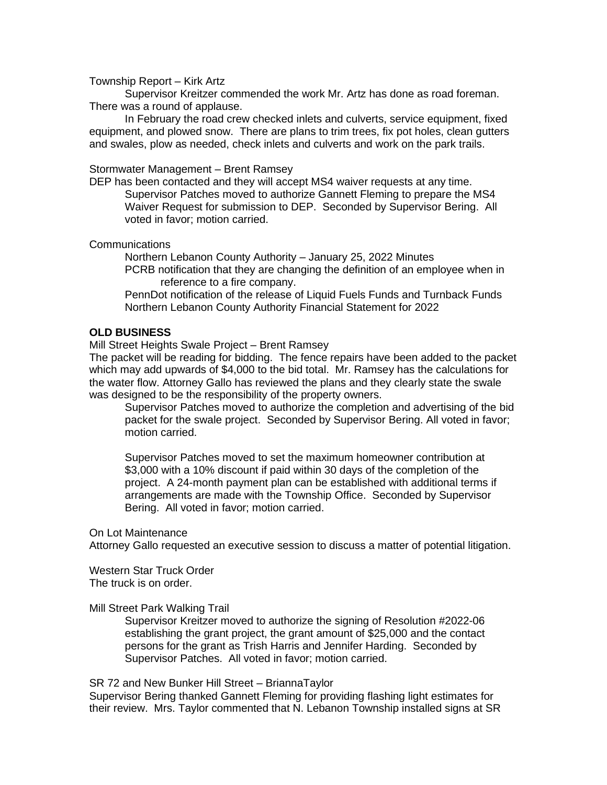# Township Report – Kirk Artz

Supervisor Kreitzer commended the work Mr. Artz has done as road foreman. There was a round of applause.

In February the road crew checked inlets and culverts, service equipment, fixed equipment, and plowed snow. There are plans to trim trees, fix pot holes, clean gutters and swales, plow as needed, check inlets and culverts and work on the park trails.

#### Stormwater Management – Brent Ramsey

DEP has been contacted and they will accept MS4 waiver requests at any time. Supervisor Patches moved to authorize Gannett Fleming to prepare the MS4 Waiver Request for submission to DEP. Seconded by Supervisor Bering. All voted in favor; motion carried.

Communications

Northern Lebanon County Authority – January 25, 2022 Minutes

PCRB notification that they are changing the definition of an employee when in reference to a fire company.

PennDot notification of the release of Liquid Fuels Funds and Turnback Funds Northern Lebanon County Authority Financial Statement for 2022

#### **OLD BUSINESS**

Mill Street Heights Swale Project – Brent Ramsey

The packet will be reading for bidding. The fence repairs have been added to the packet which may add upwards of \$4,000 to the bid total. Mr. Ramsey has the calculations for the water flow. Attorney Gallo has reviewed the plans and they clearly state the swale was designed to be the responsibility of the property owners.

Supervisor Patches moved to authorize the completion and advertising of the bid packet for the swale project. Seconded by Supervisor Bering. All voted in favor; motion carried.

Supervisor Patches moved to set the maximum homeowner contribution at \$3,000 with a 10% discount if paid within 30 days of the completion of the project. A 24-month payment plan can be established with additional terms if arrangements are made with the Township Office. Seconded by Supervisor Bering. All voted in favor; motion carried.

#### On Lot Maintenance

Attorney Gallo requested an executive session to discuss a matter of potential litigation.

Western Star Truck Order The truck is on order.

#### Mill Street Park Walking Trail

Supervisor Kreitzer moved to authorize the signing of Resolution #2022-06 establishing the grant project, the grant amount of \$25,000 and the contact persons for the grant as Trish Harris and Jennifer Harding. Seconded by Supervisor Patches. All voted in favor; motion carried.

SR 72 and New Bunker Hill Street – BriannaTaylor

Supervisor Bering thanked Gannett Fleming for providing flashing light estimates for their review. Mrs. Taylor commented that N. Lebanon Township installed signs at SR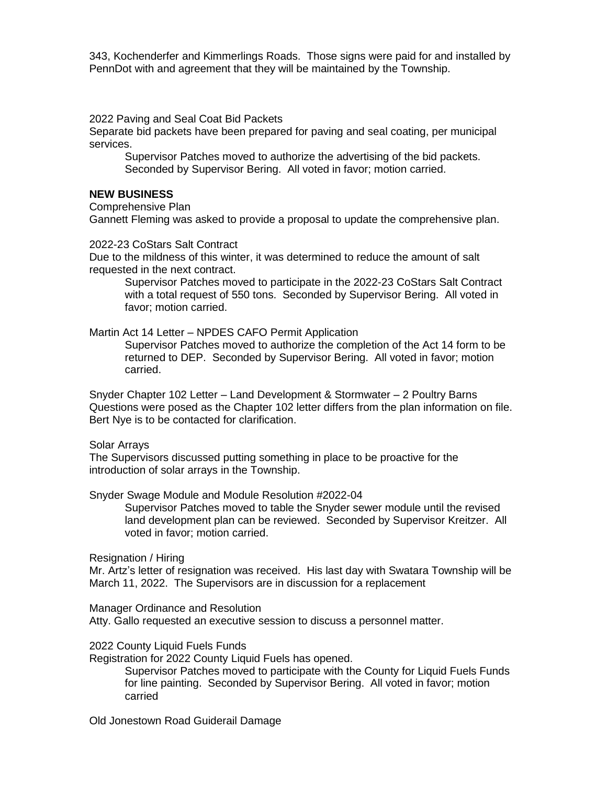343, Kochenderfer and Kimmerlings Roads. Those signs were paid for and installed by PennDot with and agreement that they will be maintained by the Township.

2022 Paving and Seal Coat Bid Packets

Separate bid packets have been prepared for paving and seal coating, per municipal services.

Supervisor Patches moved to authorize the advertising of the bid packets. Seconded by Supervisor Bering. All voted in favor; motion carried.

# **NEW BUSINESS**

Comprehensive Plan

Gannett Fleming was asked to provide a proposal to update the comprehensive plan.

2022-23 CoStars Salt Contract

Due to the mildness of this winter, it was determined to reduce the amount of salt requested in the next contract.

Supervisor Patches moved to participate in the 2022-23 CoStars Salt Contract with a total request of 550 tons. Seconded by Supervisor Bering. All voted in favor; motion carried.

Martin Act 14 Letter – NPDES CAFO Permit Application

Supervisor Patches moved to authorize the completion of the Act 14 form to be returned to DEP. Seconded by Supervisor Bering. All voted in favor; motion carried.

Snyder Chapter 102 Letter – Land Development & Stormwater – 2 Poultry Barns Questions were posed as the Chapter 102 letter differs from the plan information on file. Bert Nye is to be contacted for clarification.

Solar Arrays

The Supervisors discussed putting something in place to be proactive for the introduction of solar arrays in the Township.

Snyder Swage Module and Module Resolution #2022-04

Supervisor Patches moved to table the Snyder sewer module until the revised land development plan can be reviewed. Seconded by Supervisor Kreitzer. All voted in favor; motion carried.

Resignation / Hiring

Mr. Artz's letter of resignation was received. His last day with Swatara Township will be March 11, 2022. The Supervisors are in discussion for a replacement

Manager Ordinance and Resolution

Atty. Gallo requested an executive session to discuss a personnel matter.

2022 County Liquid Fuels Funds

Registration for 2022 County Liquid Fuels has opened.

Supervisor Patches moved to participate with the County for Liquid Fuels Funds for line painting. Seconded by Supervisor Bering. All voted in favor; motion carried

Old Jonestown Road Guiderail Damage